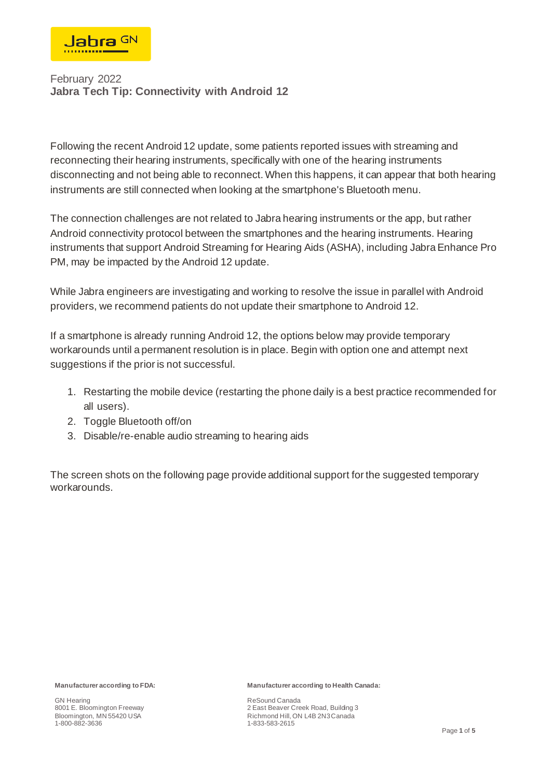

Following the recent Android 12 update, some patients reported issues with streaming and reconnecting their hearing instruments, specifically with one of the hearing instruments disconnecting and not being able to reconnect. When this happens, it can appear that both hearing instruments are still connected when looking at the smartphone's Bluetooth menu.

The connection challenges are not related to Jabra hearing instruments or the app, but rather Android connectivity protocol between the smartphones and the hearing instruments. Hearing instruments that support Android Streaming for Hearing Aids (ASHA), including Jabra Enhance Pro PM, may be impacted by the Android 12 update.

While Jabra engineers are investigating and working to resolve the issue in parallel with Android providers, we recommend patients do not update their smartphone to Android 12.

If a smartphone is already running Android 12, the options below may provide temporary workarounds until a permanent resolution is in place. Begin with option one and attempt next suggestions if the prior is not successful.

- 1. Restarting the mobile device (restarting the phone daily is a best practice recommended for all users).
- 2. Toggle Bluetooth off/on
- 3. Disable/re-enable audio streaming to hearing aids

The screen shots on the following page provide additional support for the suggested temporary workarounds.

**Manufacturer according to FDA:**

GN Hearing 8001 E. Bloomington Freeway Bloomington, MN 55420 USA 1-800-882-3636

**Manufacturer according to Health Canada:**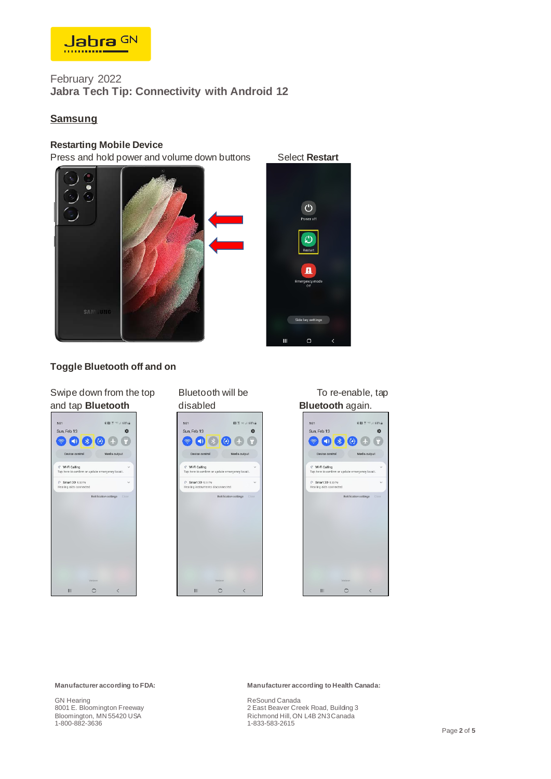

## **Samsung**

### **Restarting Mobile Device**

Press and hold power and volume down buttons Select Restart





## **Toggle Bluetooth off and on**

| and tap Bluetooth                                                         |         |                         |       |
|---------------------------------------------------------------------------|---------|-------------------------|-------|
| 5:01                                                                      |         | <b>8 图 字 □ .4 68% @</b> |       |
| Sun, Feb 13                                                               |         |                         |       |
| $\bullet$                                                                 |         | Г.                      |       |
| Device control                                                            |         | Media output            |       |
| <b>₫</b> Wi-Fi Calling<br>Tap here to confirm or update emergency locati. |         |                         |       |
| C: Smart 3D 500 PM<br>Hearing aids connected                              |         |                         |       |
|                                                                           |         | Notification settings   | Clear |
|                                                                           | Verizon |                         |       |
| Ш                                                                         |         | L                       |       |









**Manufacturer according to FDA:**

GN Hearing 8001 E. Bloomington Freeway Bloomington, MN 55420 USA 1-800-882-3636

#### **Manufacturer according to Health Canada:**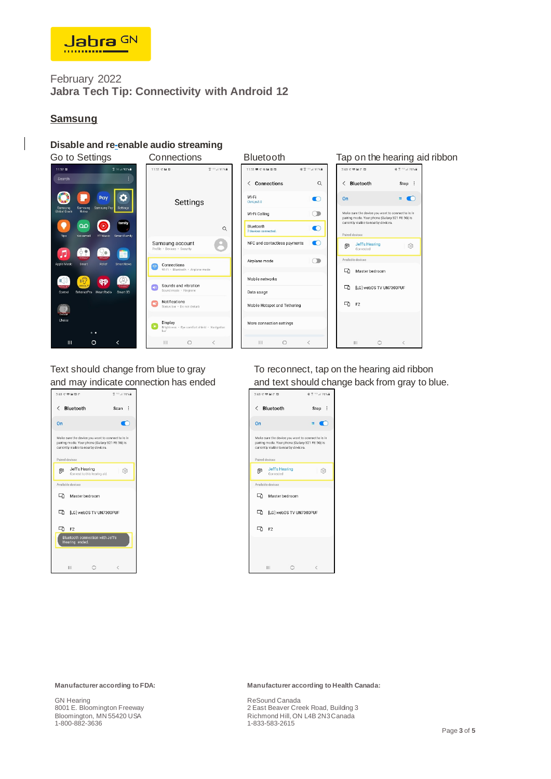

## **Samsung**

## **Disable and re-enable audio streaming**





Text should change from blue to gray To reconnect, tap on the hearing aid ribbon and may indicate connection has ended and text should change back from gray to blue.



**Manufacturer according to FDA:**

GN Hearing 8001 E. Bloomington Freeway Bloomington, MN 55420 USA 1-800-882-3636

#### **Manufacturer according to Health Canada:**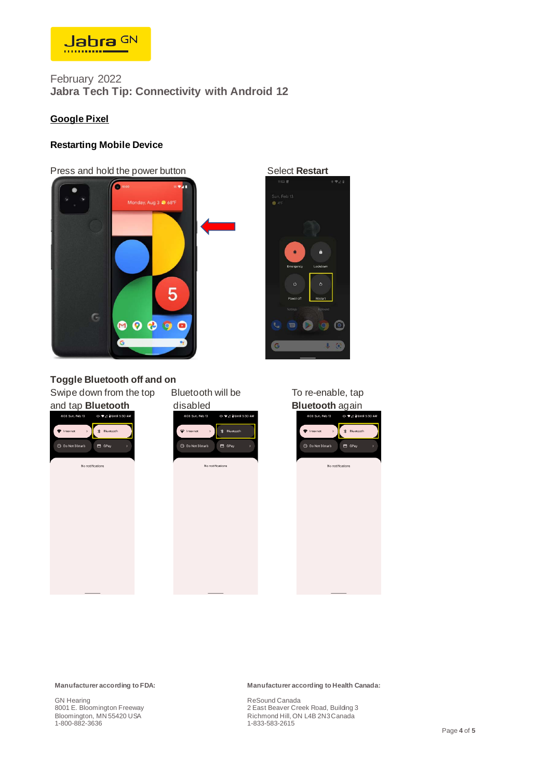

## **Google Pixel**

### **Restarting Mobile Device**

#### Press and hold the power button Select **Restart**





## **Toggle Bluetooth off and on**

Swipe down from the top Bluetooth will be To re-enable, tap







**Manufacturer according to FDA:**

GN Hearing 8001 E. Bloomington Freeway Bloomington, MN 55420 USA 1-800-882-3636

#### **Manufacturer according to Health Canada:**